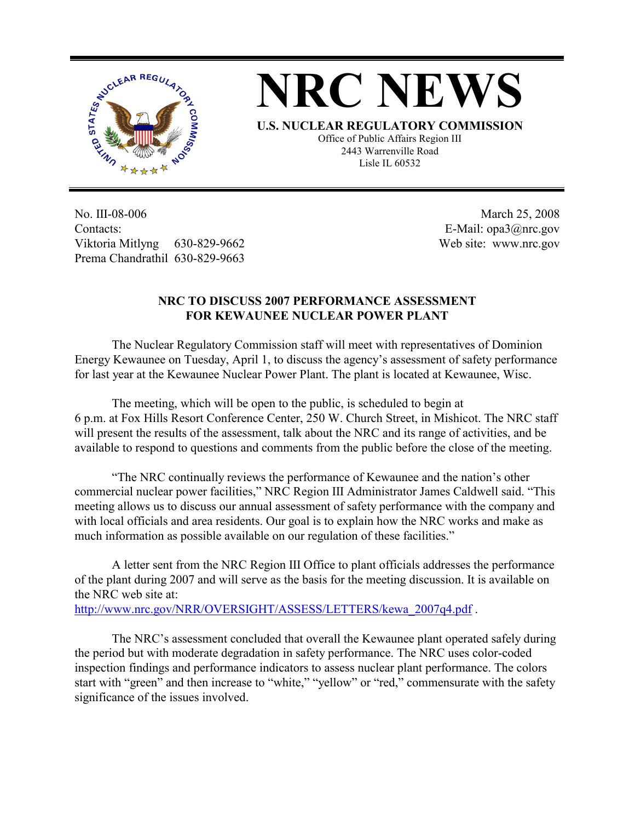

## **NRC NEWS**

**U.S. NUCLEAR REGULATORY COMMISSION** Office of Public Affairs Region III 2443 Warrenville Road Lisle IL 60532

No. III-08-006 Contacts: Viktoria Mitlyng 630-829-9662 Prema Chandrathil 630-829-9663

 March 25, 2008 E-Mail: opa3@nrc.gov Web site: www.nrc.gov

## **NRC TO DISCUSS 2007 PERFORMANCE ASSESSMENT FOR KEWAUNEE NUCLEAR POWER PLANT**

 The Nuclear Regulatory Commission staff will meet with representatives of Dominion Energy Kewaunee on Tuesday, April 1, to discuss the agency's assessment of safety performance for last year at the Kewaunee Nuclear Power Plant. The plant is located at Kewaunee, Wisc.

 The meeting, which will be open to the public, is scheduled to begin at 6 p.m. at Fox Hills Resort Conference Center, 250 W. Church Street, in Mishicot. The NRC staff will present the results of the assessment, talk about the NRC and its range of activities, and be available to respond to questions and comments from the public before the close of the meeting.

 "The NRC continually reviews the performance of Kewaunee and the nation's other commercial nuclear power facilities," NRC Region III Administrator James Caldwell said. "This meeting allows us to discuss our annual assessment of safety performance with the company and with local officials and area residents. Our goal is to explain how the NRC works and make as much information as possible available on our regulation of these facilities."

 A letter sent from the NRC Region III Office to plant officials addresses the performance of the plant during 2007 and will serve as the basis for the meeting discussion. It is available on the NRC web site at:

http://www.nrc.gov/NRR/OVERSIGHT/ASSESS/LETTERS/kewa\_2007q4.pdf .

 The NRC's assessment concluded that overall the Kewaunee plant operated safely during the period but with moderate degradation in safety performance. The NRC uses color-coded inspection findings and performance indicators to assess nuclear plant performance. The colors start with "green" and then increase to "white," "yellow" or "red," commensurate with the safety significance of the issues involved.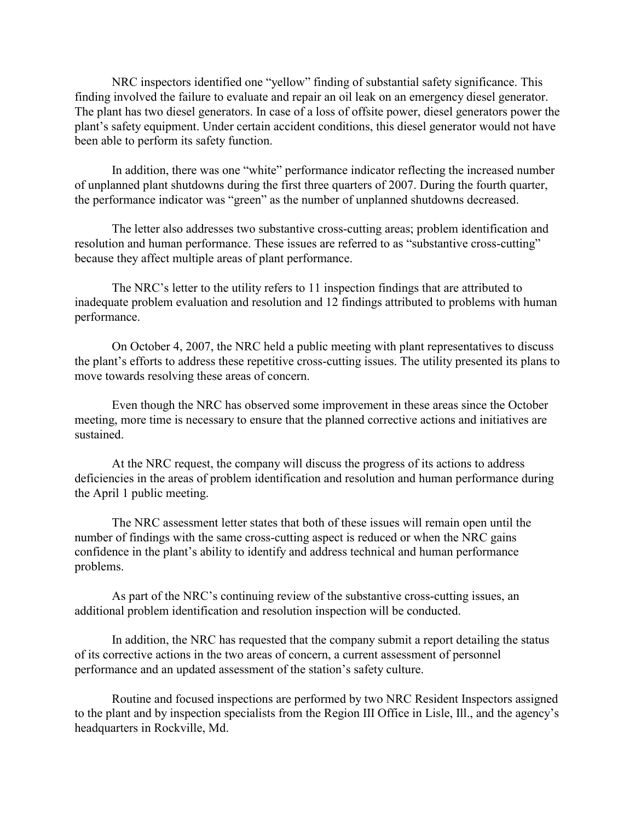NRC inspectors identified one "yellow" finding of substantial safety significance. This finding involved the failure to evaluate and repair an oil leak on an emergency diesel generator. The plant has two diesel generators. In case of a loss of offsite power, diesel generators power the plant's safety equipment. Under certain accident conditions, this diesel generator would not have been able to perform its safety function.

 In addition, there was one "white" performance indicator reflecting the increased number of unplanned plant shutdowns during the first three quarters of 2007. During the fourth quarter, the performance indicator was "green" as the number of unplanned shutdowns decreased.

 The letter also addresses two substantive cross-cutting areas; problem identification and resolution and human performance. These issues are referred to as "substantive cross-cutting" because they affect multiple areas of plant performance.

 The NRC's letter to the utility refers to 11 inspection findings that are attributed to inadequate problem evaluation and resolution and 12 findings attributed to problems with human performance.

 On October 4, 2007, the NRC held a public meeting with plant representatives to discuss the plant's efforts to address these repetitive cross-cutting issues. The utility presented its plans to move towards resolving these areas of concern.

 Even though the NRC has observed some improvement in these areas since the October meeting, more time is necessary to ensure that the planned corrective actions and initiatives are sustained.

 At the NRC request, the company will discuss the progress of its actions to address deficiencies in the areas of problem identification and resolution and human performance during the April 1 public meeting.

 The NRC assessment letter states that both of these issues will remain open until the number of findings with the same cross-cutting aspect is reduced or when the NRC gains confidence in the plant's ability to identify and address technical and human performance problems.

 As part of the NRC's continuing review of the substantive cross-cutting issues, an additional problem identification and resolution inspection will be conducted.

 In addition, the NRC has requested that the company submit a report detailing the status of its corrective actions in the two areas of concern, a current assessment of personnel performance and an updated assessment of the station's safety culture.

 Routine and focused inspections are performed by two NRC Resident Inspectors assigned to the plant and by inspection specialists from the Region III Office in Lisle, Ill., and the agency's headquarters in Rockville, Md.